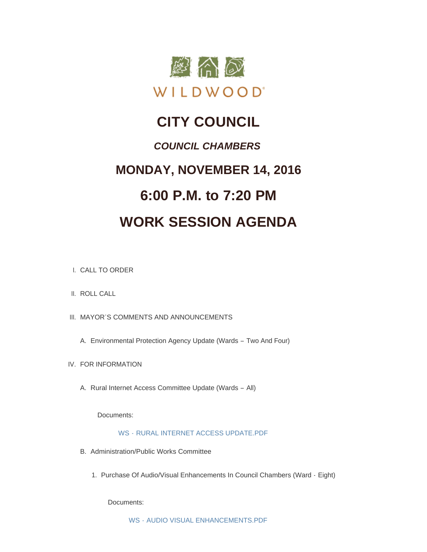

### **CITY COUNCIL**

### *COUNCIL CHAMBERS*

## **MONDAY, NOVEMBER 14, 2016 6:00 P.M. to 7:20 PM**

# **WORK SESSION AGENDA**

- CALL TO ORDER I.
- II. ROLL CALL
- III. MAYOR'S COMMENTS AND ANNOUNCEMENTS
	- Environmental Protection Agency Update (Wards Two And Four) A.
- IV. FOR INFORMATION
	- A. Rural Internet Access Committee Update (Wards All)

Documents:

#### WS - [RURAL INTERNET ACCESS UPDATE.PDF](http://mo-wildwood.civicplus.com/AgendaCenter/ViewFile/Item/8864?fileID=13173)

- B. Administration/Public Works Committee
	- 1. Purchase Of Audio/Visual Enhancements In Council Chambers (Ward Eight)

Documents: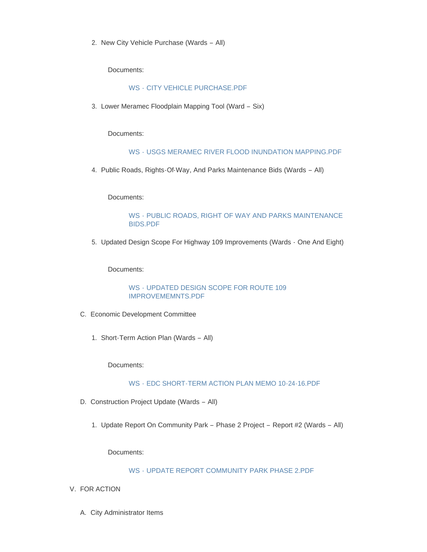2. New City Vehicle Purchase (Wards - All)

Documents:

#### WS - [CITY VEHICLE PURCHASE.PDF](http://mo-wildwood.civicplus.com/AgendaCenter/ViewFile/Item/8843?fileID=13166)

3. Lower Meramec Floodplain Mapping Tool (Ward - Six)

Documents:

#### WS - [USGS MERAMEC RIVER FLOOD INUNDATION MAPPING.PDF](http://mo-wildwood.civicplus.com/AgendaCenter/ViewFile/Item/8844?fileID=13167)

4. Public Roads, Rights-Of-Way, And Parks Maintenance Bids (Wards - All)

Documents:

#### WS - [PUBLIC ROADS, RIGHT OF WAY AND PARKS MAINTENANCE](http://mo-wildwood.civicplus.com/AgendaCenter/ViewFile/Item/8845?fileID=13168)  BIDS.PDF

5. Updated Design Scope For Highway 109 Improvements (Wards - One And Eight)

Documents:

#### WS - [UPDATED DESIGN SCOPE FOR ROUTE 109](http://mo-wildwood.civicplus.com/AgendaCenter/ViewFile/Item/8846?fileID=13169)  IMPROVEMEMNTS.PDF

- Economic Development Committee C.
	- 1. Short-Term Action Plan (Wards All)

Documents:

#### WS - [EDC SHORT-TERM ACTION PLAN MEMO 10-24-16.PDF](http://mo-wildwood.civicplus.com/AgendaCenter/ViewFile/Item/8848?fileID=13170)

- D. Construction Project Update (Wards All)
	- 1. Update Report On Community Park Phase 2 Project Report #2 (Wards All)

Documents:

#### WS - [UPDATE REPORT COMMUNITY PARK PHASE 2.PDF](http://mo-wildwood.civicplus.com/AgendaCenter/ViewFile/Item/8850?fileID=13171)

- V. FOR ACTION
	- A. City Administrator Items